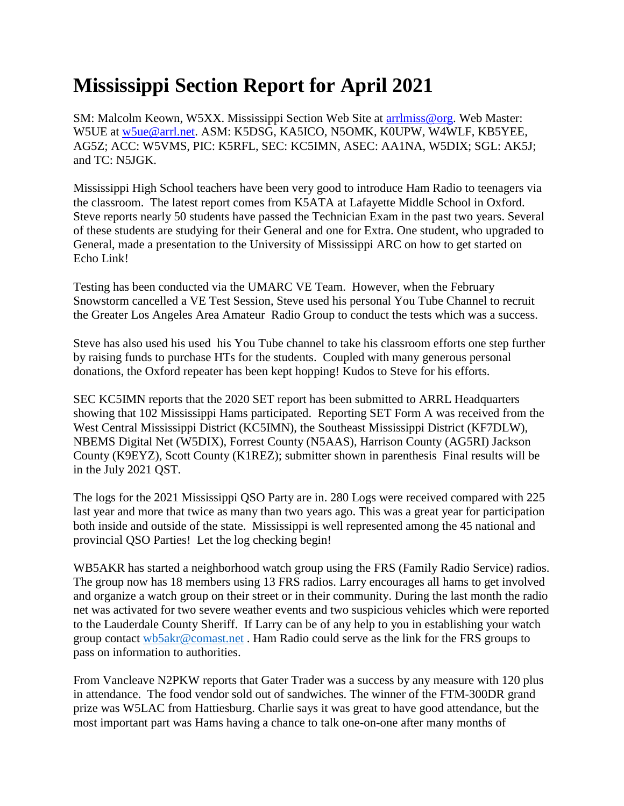## **Mississippi Section Report for April 2021**

SM: Malcolm Keown, W5XX. Mississippi Section Web Site at [arrlmiss@org.](mailto:arrlmiss@org) Web Master: W5UE at [w5ue@arrl.net.](mailto:w5ue@arrl.net) ASM: K5DSG, KA5ICO, N5OMK, K0UPW, W4WLF, KB5YEE, AG5Z; ACC: W5VMS, PIC: K5RFL, SEC: KC5IMN, ASEC: AA1NA, W5DIX; SGL: AK5J; and TC: N5JGK.

Mississippi High School teachers have been very good to introduce Ham Radio to teenagers via the classroom. The latest report comes from K5ATA at Lafayette Middle School in Oxford. Steve reports nearly 50 students have passed the Technician Exam in the past two years. Several of these students are studying for their General and one for Extra. One student, who upgraded to General, made a presentation to the University of Mississippi ARC on how to get started on Echo Link!

Testing has been conducted via the UMARC VE Team. However, when the February Snowstorm cancelled a VE Test Session, Steve used his personal You Tube Channel to recruit the Greater Los Angeles Area Amateur Radio Group to conduct the tests which was a success.

Steve has also used his used his You Tube channel to take his classroom efforts one step further by raising funds to purchase HTs for the students. Coupled with many generous personal donations, the Oxford repeater has been kept hopping! Kudos to Steve for his efforts.

SEC KC5IMN reports that the 2020 SET report has been submitted to ARRL Headquarters showing that 102 Mississippi Hams participated. Reporting SET Form A was received from the West Central Mississippi District (KC5IMN), the Southeast Mississippi District (KF7DLW), NBEMS Digital Net (W5DIX), Forrest County (N5AAS), Harrison County (AG5RI) Jackson County (K9EYZ), Scott County (K1REZ); submitter shown in parenthesis Final results will be in the July 2021 QST.

The logs for the 2021 Mississippi QSO Party are in. 280 Logs were received compared with 225 last year and more that twice as many than two years ago. This was a great year for participation both inside and outside of the state. Mississippi is well represented among the 45 national and provincial QSO Parties! Let the log checking begin!

WB5AKR has started a neighborhood watch group using the FRS (Family Radio Service) radios. The group now has 18 members using 13 FRS radios. Larry encourages all hams to get involved and organize a watch group on their street or in their community. During the last month the radio net was activated for two severe weather events and two suspicious vehicles which were reported to the Lauderdale County Sheriff. If Larry can be of any help to you in establishing your watch group contact [wb5akr@comast.net](mailto:wb5akr@comast.net) . Ham Radio could serve as the link for the FRS groups to pass on information to authorities.

From Vancleave N2PKW reports that Gater Trader was a success by any measure with 120 plus in attendance. The food vendor sold out of sandwiches. The winner of the FTM-300DR grand prize was W5LAC from Hattiesburg. Charlie says it was great to have good attendance, but the most important part was Hams having a chance to talk one-on-one after many months of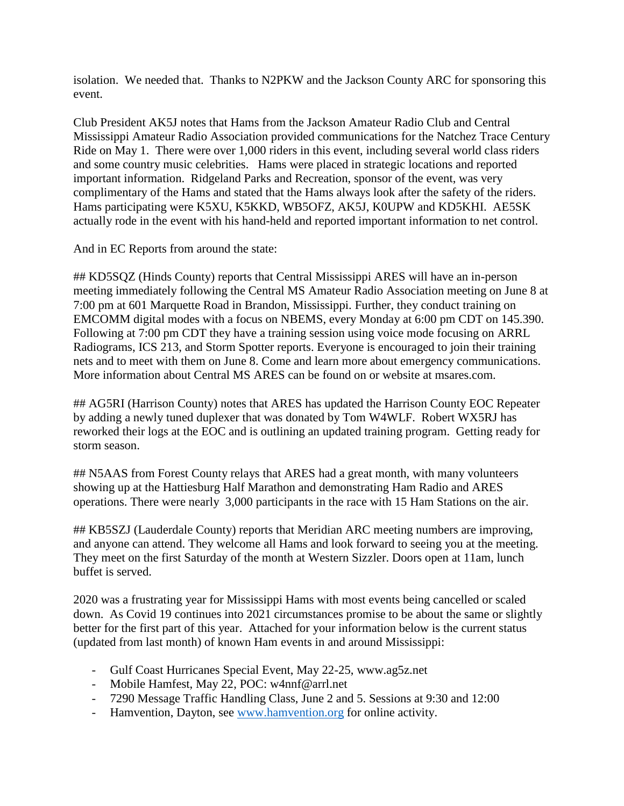isolation. We needed that. Thanks to N2PKW and the Jackson County ARC for sponsoring this event.

Club President AK5J notes that Hams from the Jackson Amateur Radio Club and Central Mississippi Amateur Radio Association provided communications for the Natchez Trace Century Ride on May 1. There were over 1,000 riders in this event, including several world class riders and some country music celebrities. Hams were placed in strategic locations and reported important information. Ridgeland Parks and Recreation, sponsor of the event, was very complimentary of the Hams and stated that the Hams always look after the safety of the riders. Hams participating were K5XU, K5KKD, WB5OFZ, AK5J, K0UPW and KD5KHI. AE5SK actually rode in the event with his hand-held and reported important information to net control.

And in EC Reports from around the state:

## KD5SQZ (Hinds County) reports that Central Mississippi ARES will have an in-person meeting immediately following the Central MS Amateur Radio Association meeting on June 8 at 7:00 pm at 601 Marquette Road in Brandon, Mississippi. Further, they conduct training on EMCOMM digital modes with a focus on NBEMS, every Monday at 6:00 pm CDT on 145.390. Following at 7:00 pm CDT they have a training session using voice mode focusing on ARRL Radiograms, ICS 213, and Storm Spotter reports. Everyone is encouraged to join their training nets and to meet with them on June 8. Come and learn more about emergency communications. More information about Central MS ARES can be found on or website at msares.com.

## AG5RI (Harrison County) notes that ARES has updated the Harrison County EOC Repeater by adding a newly tuned duplexer that was donated by Tom W4WLF. Robert WX5RJ has reworked their logs at the EOC and is outlining an updated training program. Getting ready for storm season.

## N5AAS from Forest County relays that ARES had a great month, with many volunteers showing up at the Hattiesburg Half Marathon and demonstrating Ham Radio and ARES operations. There were nearly 3,000 participants in the race with 15 Ham Stations on the air.

## KB5SZJ (Lauderdale County) reports that Meridian ARC meeting numbers are improving, and anyone can attend. They welcome all Hams and look forward to seeing you at the meeting. They meet on the first Saturday of the month at Western Sizzler. Doors open at 11am, lunch buffet is served.

2020 was a frustrating year for Mississippi Hams with most events being cancelled or scaled down. As Covid 19 continues into 2021 circumstances promise to be about the same or slightly better for the first part of this year. Attached for your information below is the current status (updated from last month) of known Ham events in and around Mississippi:

- Gulf Coast Hurricanes Special Event, May 22-25, www.ag5z.net
- Mobile Hamfest, May 22, POC: w4nnf@arrl.net
- 7290 Message Traffic Handling Class, June 2 and 5. Sessions at 9:30 and 12:00
- Hamvention, Dayton, see [www.hamvention.org](http://www.hamvention.org/) for online activity.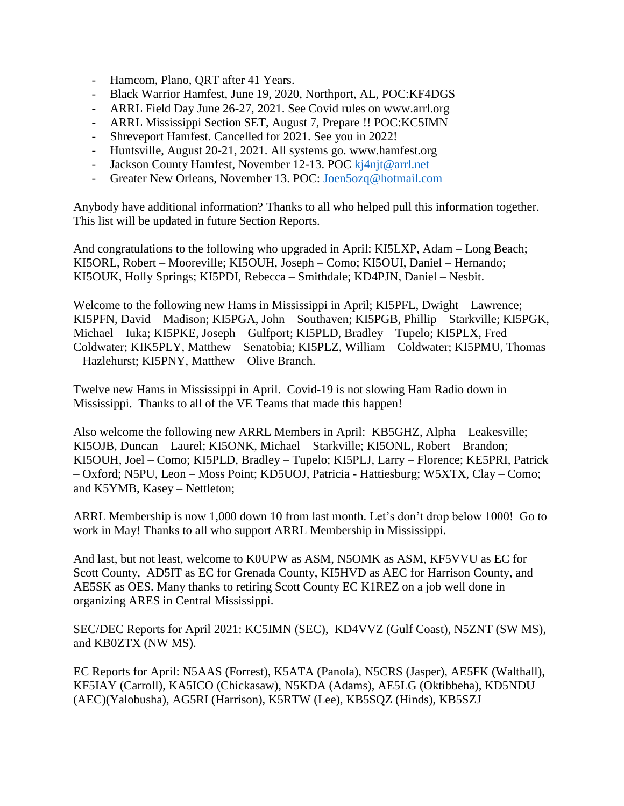- Hamcom, Plano, QRT after 41 Years.
- Black Warrior Hamfest, June 19, 2020, Northport, AL, POC:KF4DGS
- ARRL Field Day June 26-27, 2021. See Covid rules on www.arrl.org
- ARRL Mississippi Section SET, August 7, Prepare !! POC:KC5IMN
- Shreveport Hamfest. Cancelled for 2021. See you in 2022!
- Huntsville, August 20-21, 2021. All systems go. www.hamfest.org
- Jackson County Hamfest, November 12-13. POC [kj4njt@arrl.net](mailto:kj4njt@arrl.net)
- Greater New Orleans, November 13. POC: [Joen5ozq@hotmail.com](mailto:Joen5ozq@hotmail.com)

Anybody have additional information? Thanks to all who helped pull this information together. This list will be updated in future Section Reports.

And congratulations to the following who upgraded in April: KI5LXP, Adam – Long Beach; KI5ORL, Robert – Mooreville; KI5OUH, Joseph – Como; KI5OUI, Daniel – Hernando; KI5OUK, Holly Springs; KI5PDI, Rebecca – Smithdale; KD4PJN, Daniel – Nesbit.

Welcome to the following new Hams in Mississippi in April; KI5PFL, Dwight – Lawrence; KI5PFN, David – Madison; KI5PGA, John – Southaven; KI5PGB, Phillip – Starkville; KI5PGK, Michael – Iuka; KI5PKE, Joseph – Gulfport; KI5PLD, Bradley – Tupelo; KI5PLX, Fred – Coldwater; KIK5PLY, Matthew – Senatobia; KI5PLZ, William – Coldwater; KI5PMU, Thomas – Hazlehurst; KI5PNY, Matthew – Olive Branch.

Twelve new Hams in Mississippi in April. Covid-19 is not slowing Ham Radio down in Mississippi. Thanks to all of the VE Teams that made this happen!

Also welcome the following new ARRL Members in April: KB5GHZ, Alpha – Leakesville; KI5OJB, Duncan – Laurel; KI5ONK, Michael – Starkville; KI5ONL, Robert – Brandon; KI5OUH, Joel – Como; KI5PLD, Bradley – Tupelo; KI5PLJ, Larry – Florence; KE5PRI, Patrick – Oxford; N5PU, Leon – Moss Point; KD5UOJ, Patricia - Hattiesburg; W5XTX, Clay – Como; and K5YMB, Kasey – Nettleton;

ARRL Membership is now 1,000 down 10 from last month. Let's don't drop below 1000! Go to work in May! Thanks to all who support ARRL Membership in Mississippi.

And last, but not least, welcome to K0UPW as ASM, N5OMK as ASM, KF5VVU as EC for Scott County, AD5IT as EC for Grenada County, KI5HVD as AEC for Harrison County, and AE5SK as OES. Many thanks to retiring Scott County EC K1REZ on a job well done in organizing ARES in Central Mississippi.

SEC/DEC Reports for April 2021: KC5IMN (SEC), KD4VVZ (Gulf Coast), N5ZNT (SW MS), and KB0ZTX (NW MS).

EC Reports for April: N5AAS (Forrest), K5ATA (Panola), N5CRS (Jasper), AE5FK (Walthall), KF5IAY (Carroll), KA5ICO (Chickasaw), N5KDA (Adams), AE5LG (Oktibbeha), KD5NDU (AEC)(Yalobusha), AG5RI (Harrison), K5RTW (Lee), KB5SQZ (Hinds), KB5SZJ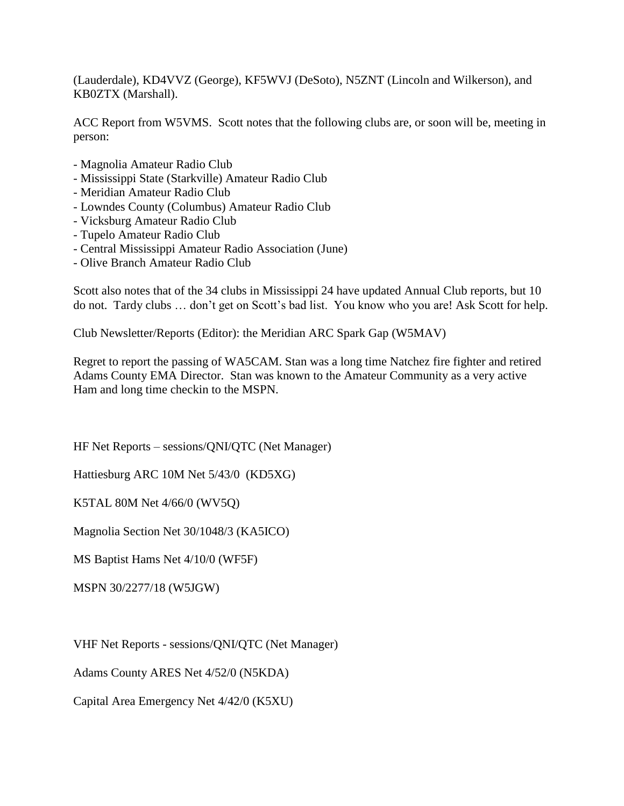(Lauderdale), KD4VVZ (George), KF5WVJ (DeSoto), N5ZNT (Lincoln and Wilkerson), and KB0ZTX (Marshall).

ACC Report from W5VMS. Scott notes that the following clubs are, or soon will be, meeting in person:

- Magnolia Amateur Radio Club
- Mississippi State (Starkville) Amateur Radio Club
- Meridian Amateur Radio Club
- Lowndes County (Columbus) Amateur Radio Club
- Vicksburg Amateur Radio Club
- Tupelo Amateur Radio Club
- Central Mississippi Amateur Radio Association (June)
- Olive Branch Amateur Radio Club

Scott also notes that of the 34 clubs in Mississippi 24 have updated Annual Club reports, but 10 do not. Tardy clubs … don't get on Scott's bad list. You know who you are! Ask Scott for help.

Club Newsletter/Reports (Editor): the Meridian ARC Spark Gap (W5MAV)

Regret to report the passing of WA5CAM. Stan was a long time Natchez fire fighter and retired Adams County EMA Director. Stan was known to the Amateur Community as a very active Ham and long time checkin to the MSPN.

HF Net Reports – sessions/QNI/QTC (Net Manager)

Hattiesburg ARC 10M Net 5/43/0 (KD5XG)

K5TAL 80M Net 4/66/0 (WV5Q)

Magnolia Section Net 30/1048/3 (KA5ICO)

MS Baptist Hams Net 4/10/0 (WF5F)

MSPN 30/2277/18 (W5JGW)

VHF Net Reports - sessions/QNI/QTC (Net Manager)

Adams County ARES Net 4/52/0 (N5KDA)

Capital Area Emergency Net 4/42/0 (K5XU)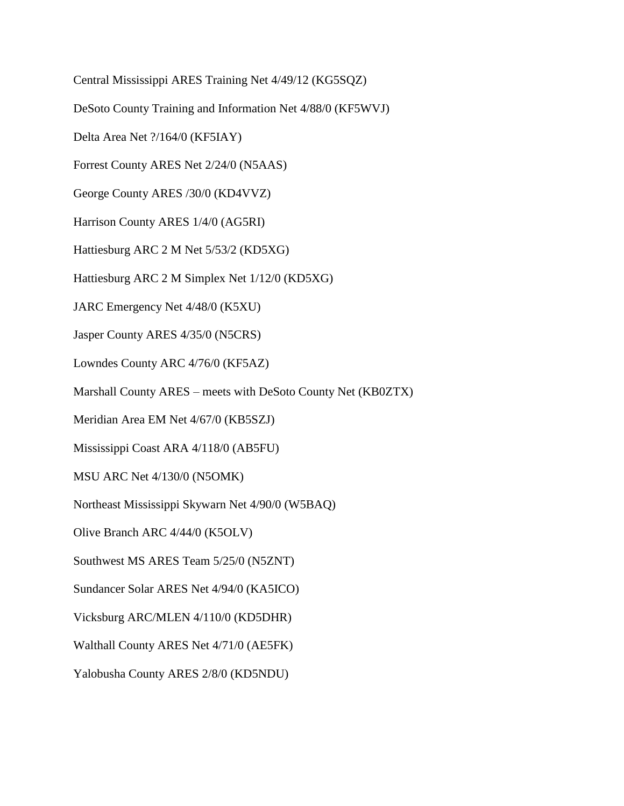Central Mississippi ARES Training Net 4/49/12 (KG5SQZ) DeSoto County Training and Information Net 4/88/0 (KF5WVJ) Delta Area Net ?/164/0 (KF5IAY) Forrest County ARES Net 2/24/0 (N5AAS) George County ARES /30/0 (KD4VVZ) Harrison County ARES 1/4/0 (AG5RI) Hattiesburg ARC 2 M Net 5/53/2 (KD5XG) Hattiesburg ARC 2 M Simplex Net 1/12/0 (KD5XG) JARC Emergency Net 4/48/0 (K5XU) Jasper County ARES 4/35/0 (N5CRS) Lowndes County ARC 4/76/0 (KF5AZ) Marshall County ARES – meets with DeSoto County Net (KB0ZTX) Meridian Area EM Net 4/67/0 (KB5SZJ) Mississippi Coast ARA 4/118/0 (AB5FU) MSU ARC Net 4/130/0 (N5OMK) Northeast Mississippi Skywarn Net 4/90/0 (W5BAQ) Olive Branch ARC 4/44/0 (K5OLV) Southwest MS ARES Team 5/25/0 (N5ZNT) Sundancer Solar ARES Net 4/94/0 (KA5ICO) Vicksburg ARC/MLEN 4/110/0 (KD5DHR) Walthall County ARES Net 4/71/0 (AE5FK) Yalobusha County ARES 2/8/0 (KD5NDU)